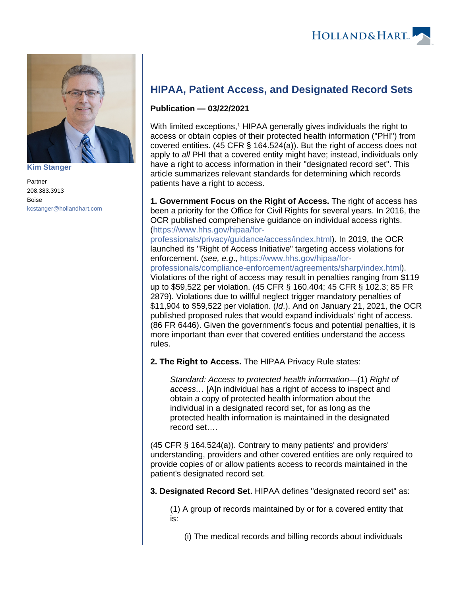

**[Kim Stanger](https://www.hollandhart.com/15954)**

Partner 208.383.3913 Boise [kcstanger@hollandhart.com](mailto:kcstanger@hollandhart.com)

# **HIPAA, Patient Access, and Designated Record Sets**

## **Publication — 03/22/2021**

With limited exceptions,<sup>1</sup> HIPAA generally gives individuals the right to access or obtain copies of their protected health information ("PHI") from covered entities. (45 CFR § 164.524(a)). But the right of access does not apply to all PHI that a covered entity might have; instead, individuals only have a right to access information in their "designated record set". This article summarizes relevant standards for determining which records patients have a right to access.

**1. Government Focus on the Right of Access.** The right of access has been a priority for the Office for Civil Rights for several years. In 2016, the OCR published comprehensive guidance on individual access rights. [\(https://www.hhs.gov/hipaa/for-](https://www.hhs.gov/hipaa/for-professionals/privacy/guidance/access/index.html)

[professionals/privacy/guidance/access/index.html\)](https://www.hhs.gov/hipaa/for-professionals/privacy/guidance/access/index.html). In 2019, the OCR launched its "Right of Access Initiative" targeting access violations for enforcement. (see, e.g., [https://www.hhs.gov/hipaa/for-](https://www.hhs.gov/hipaa/for-professionals/compliance-enforcement/agreements/sharp/index.html)

[professionals/compliance-enforcement/agreements/sharp/index.html](https://www.hhs.gov/hipaa/for-professionals/compliance-enforcement/agreements/sharp/index.html)). Violations of the right of access may result in penalties ranging from \$119 up to \$59,522 per violation. (45 CFR § 160.404; 45 CFR § 102.3; 85 FR 2879). Violations due to willful neglect trigger mandatory penalties of \$11,904 to \$59,522 per violation. (Id.). And on January 21, 2021, the OCR published proposed rules that would expand individuals' right of access. (86 FR 6446). Given the government's focus and potential penalties, it is more important than ever that covered entities understand the access rules.

**2. The Right to Access.** The HIPAA Privacy Rule states:

Standard: Access to protected health information—(1) Right of access… [A]n individual has a right of access to inspect and obtain a copy of protected health information about the individual in a designated record set, for as long as the protected health information is maintained in the designated record set….

(45 CFR § 164.524(a)). Contrary to many patients' and providers' understanding, providers and other covered entities are only required to provide copies of or allow patients access to records maintained in the patient's designated record set.

**3. Designated Record Set.** HIPAA defines "designated record set" as:

(1) A group of records maintained by or for a covered entity that is:

(i) The medical records and billing records about individuals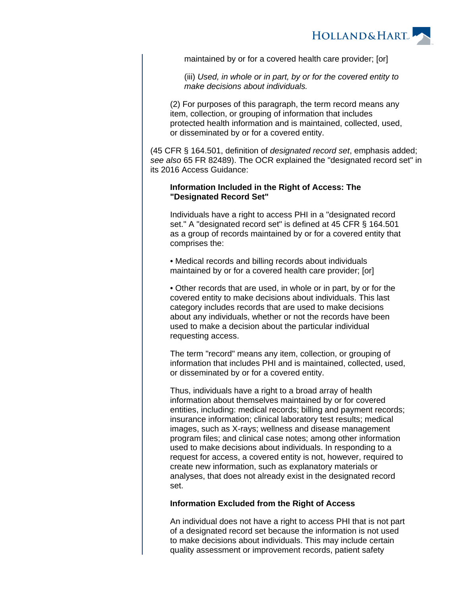

maintained by or for a covered health care provider; [or]

(iii) Used, in whole or in part, by or for the covered entity to make decisions about individuals.

(2) For purposes of this paragraph, the term record means any item, collection, or grouping of information that includes protected health information and is maintained, collected, used, or disseminated by or for a covered entity.

(45 CFR § 164.501, definition of designated record set, emphasis added; see also 65 FR 82489). The OCR explained the "designated record set" in its 2016 Access Guidance:

### **Information Included in the Right of Access: The "Designated Record Set"**

Individuals have a right to access PHI in a "designated record set." A "designated record set" is defined at 45 CFR § 164.501 as a group of records maintained by or for a covered entity that comprises the:

• Medical records and billing records about individuals maintained by or for a covered health care provider; [or]

• Other records that are used, in whole or in part, by or for the covered entity to make decisions about individuals. This last category includes records that are used to make decisions about any individuals, whether or not the records have been used to make a decision about the particular individual requesting access.

The term "record" means any item, collection, or grouping of information that includes PHI and is maintained, collected, used, or disseminated by or for a covered entity.

Thus, individuals have a right to a broad array of health information about themselves maintained by or for covered entities, including: medical records; billing and payment records; insurance information; clinical laboratory test results; medical images, such as X-rays; wellness and disease management program files; and clinical case notes; among other information used to make decisions about individuals. In responding to a request for access, a covered entity is not, however, required to create new information, such as explanatory materials or analyses, that does not already exist in the designated record set.

#### **Information Excluded from the Right of Access**

An individual does not have a right to access PHI that is not part of a designated record set because the information is not used to make decisions about individuals. This may include certain quality assessment or improvement records, patient safety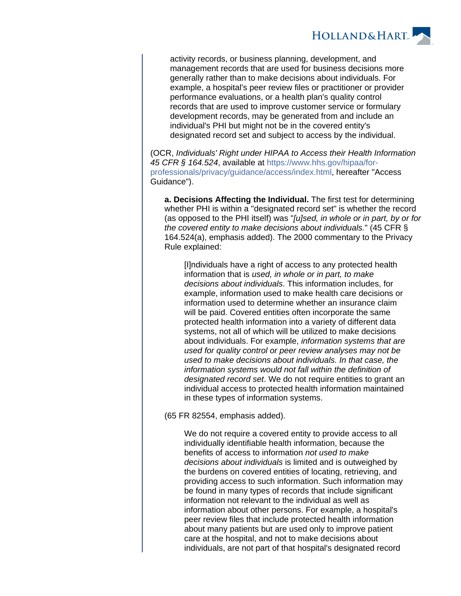

activity records, or business planning, development, and management records that are used for business decisions more generally rather than to make decisions about individuals. For example, a hospital's peer review files or practitioner or provider performance evaluations, or a health plan's quality control records that are used to improve customer service or formulary development records, may be generated from and include an individual's PHI but might not be in the covered entity's designated record set and subject to access by the individual.

(OCR, Individuals' Right under HIPAA to Access their Health Information 45 CFR § 164.524, available at [https://www.hhs.gov/hipaa/for](https://www.hhs.gov/hipaa/for-professionals/privacy/guidance/access/index.html)[professionals/privacy/guidance/access/index.html,](https://www.hhs.gov/hipaa/for-professionals/privacy/guidance/access/index.html) hereafter "Access Guidance").

**a. Decisions Affecting the Individual.** The first test for determining whether PHI is within a "designated record set" is whether the record (as opposed to the PHI itself) was "[u]sed, in whole or in part, by or for the covered entity to make decisions about individuals." (45 CFR § 164.524(a), emphasis added). The 2000 commentary to the Privacy Rule explained:

[I]ndividuals have a right of access to any protected health information that is used, in whole or in part, to make decisions about individuals. This information includes, for example, information used to make health care decisions or information used to determine whether an insurance claim will be paid. Covered entities often incorporate the same protected health information into a variety of different data systems, not all of which will be utilized to make decisions about individuals. For example, information systems that are used for quality control or peer review analyses may not be used to make decisions about individuals. In that case, the information systems would not fall within the definition of designated record set. We do not require entities to grant an individual access to protected health information maintained in these types of information systems.

(65 FR 82554, emphasis added).

We do not require a covered entity to provide access to all individually identifiable health information, because the benefits of access to information not used to make decisions about individuals is limited and is outweighed by the burdens on covered entities of locating, retrieving, and providing access to such information. Such information may be found in many types of records that include significant information not relevant to the individual as well as information about other persons. For example, a hospital's peer review files that include protected health information about many patients but are used only to improve patient care at the hospital, and not to make decisions about individuals, are not part of that hospital's designated record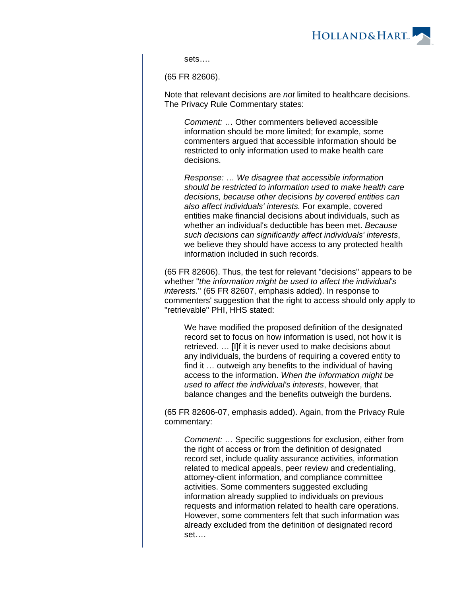

sets….

(65 FR 82606).

Note that relevant decisions are not limited to healthcare decisions. The Privacy Rule Commentary states:

Comment: … Other commenters believed accessible information should be more limited; for example, some commenters argued that accessible information should be restricted to only information used to make health care decisions.

Response: … We disagree that accessible information should be restricted to information used to make health care decisions, because other decisions by covered entities can also affect individuals' interests. For example, covered entities make financial decisions about individuals, such as whether an individual's deductible has been met. Because such decisions can significantly affect individuals' interests, we believe they should have access to any protected health information included in such records.

(65 FR 82606). Thus, the test for relevant "decisions" appears to be whether "the information might be used to affect the individual's interests." (65 FR 82607, emphasis added). In response to commenters' suggestion that the right to access should only apply to "retrievable" PHI, HHS stated:

We have modified the proposed definition of the designated record set to focus on how information is used, not how it is retrieved. … [I]f it is never used to make decisions about any individuals, the burdens of requiring a covered entity to find it … outweigh any benefits to the individual of having access to the information. When the information might be used to affect the individual's interests, however, that balance changes and the benefits outweigh the burdens.

(65 FR 82606-07, emphasis added). Again, from the Privacy Rule commentary:

Comment: … Specific suggestions for exclusion, either from the right of access or from the definition of designated record set, include quality assurance activities, information related to medical appeals, peer review and credentialing, attorney-client information, and compliance committee activities. Some commenters suggested excluding information already supplied to individuals on previous requests and information related to health care operations. However, some commenters felt that such information was already excluded from the definition of designated record set….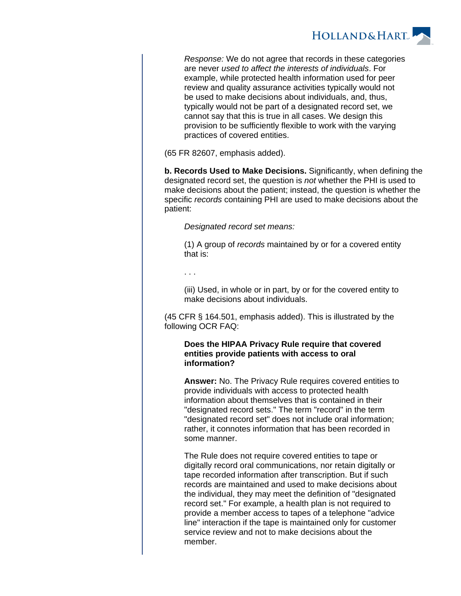

Response: We do not agree that records in these categories are never used to affect the interests of individuals. For example, while protected health information used for peer review and quality assurance activities typically would not be used to make decisions about individuals, and, thus, typically would not be part of a designated record set, we cannot say that this is true in all cases. We design this provision to be sufficiently flexible to work with the varying practices of covered entities.

(65 FR 82607, emphasis added).

**b. Records Used to Make Decisions.** Significantly, when defining the designated record set, the question is *not* whether the PHI is used to make decisions about the patient; instead, the question is whether the specific records containing PHI are used to make decisions about the patient:

Designated record set means:

(1) A group of records maintained by or for a covered entity that is:

. . .

(iii) Used, in whole or in part, by or for the covered entity to make decisions about individuals.

(45 CFR § 164.501, emphasis added). This is illustrated by the following OCR FAQ:

### **Does the HIPAA Privacy Rule require that covered entities provide patients with access to oral information?**

**Answer:** No. The Privacy Rule requires covered entities to provide individuals with access to protected health information about themselves that is contained in their "designated record sets." The term "record" in the term "designated record set" does not include oral information; rather, it connotes information that has been recorded in some manner.

The Rule does not require covered entities to tape or digitally record oral communications, nor retain digitally or tape recorded information after transcription. But if such records are maintained and used to make decisions about the individual, they may meet the definition of "designated record set." For example, a health plan is not required to provide a member access to tapes of a telephone "advice line" interaction if the tape is maintained only for customer service review and not to make decisions about the member.